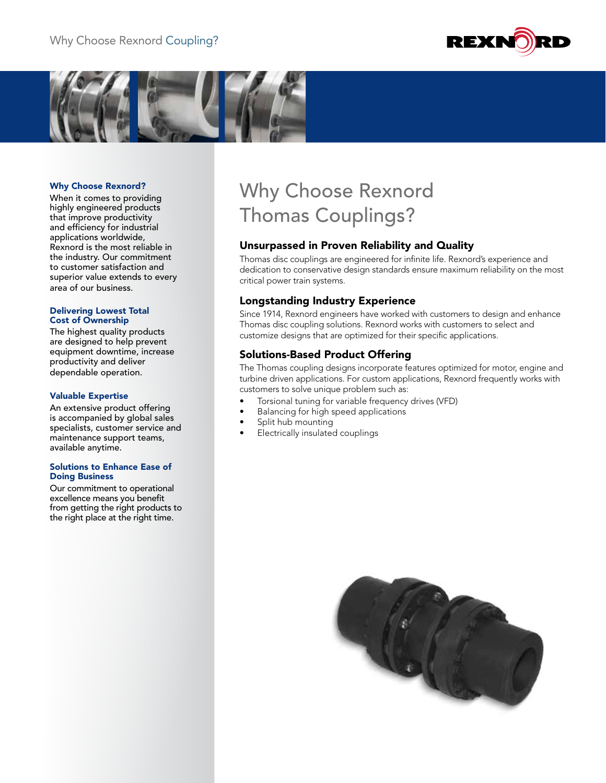



## Why Choose Rexnord?

When it comes to providing highly engineered products that improve productivity and efficiency for industrial applications worldwide, Rexnord is the most reliable in the industry. Our commitment to customer satisfaction and superior value extends to every area of our business.

#### Delivering Lowest Total Cost of Ownership

The highest quality products are designed to help prevent equipment downtime, increase productivity and deliver dependable operation.

### Valuable Expertise

An extensive product offering is accompanied by global sales specialists, customer service and maintenance support teams, available anytime.

#### Solutions to Enhance Ease of Doing Business

Our commitment to operational excellence means you benefit from getting the right products to the right place at the right time.

# Why Choose Rexnord Thomas Couplings?

# Unsurpassed in Proven Reliability and Quality

Thomas disc couplings are engineered for infinite life. Rexnord's experience and dedication to conservative design standards ensure maximum reliability on the most critical power train systems.

# Longstanding Industry Experience

Since 1914, Rexnord engineers have worked with customers to design and enhance Thomas disc coupling solutions. Rexnord works with customers to select and customize designs that are optimized for their specific applications.

## Solutions-Based Product Offering

The Thomas coupling designs incorporate features optimized for motor, engine and turbine driven applications. For custom applications, Rexnord frequently works with customers to solve unique problem such as:

- Torsional tuning for variable frequency drives (VFD)
- Balancing for high speed applications
- Split hub mounting
- Electrically insulated couplings